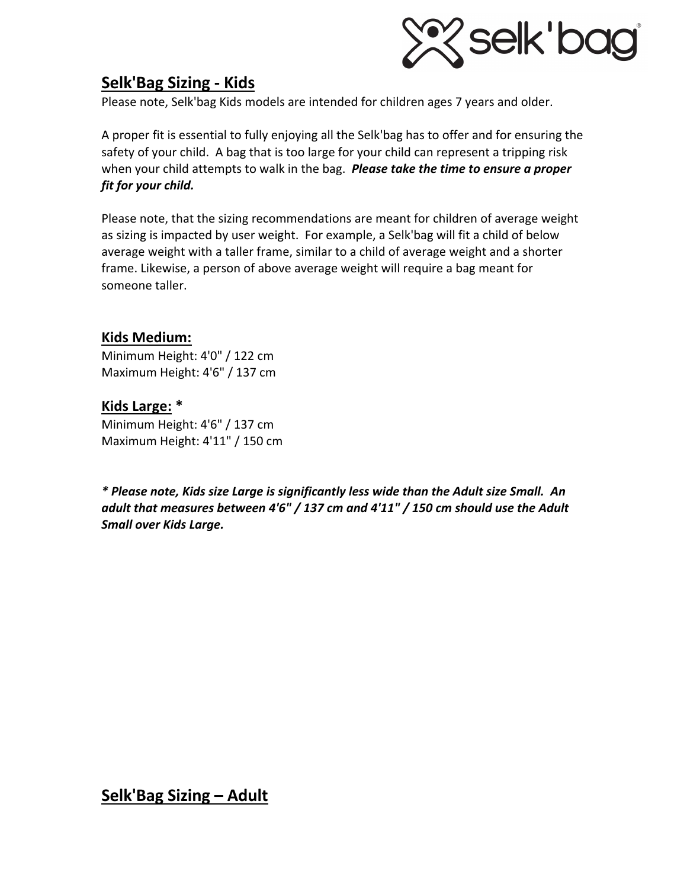

# **Selk'Bag Sizing - Kids**

Please note, Selk'bag Kids models are intended for children ages 7 years and older.

A proper fit is essential to fully enjoying all the Selk'bag has to offer and for ensuring the safety of your child. A bag that is too large for your child can represent a tripping risk when your child attempts to walk in the bag. *Please take the time to ensure a proper fit for your child.*

Please note, that the sizing recommendations are meant for children of average weight as sizing is impacted by user weight. For example, a Selk'bag will fit a child of below average weight with a taller frame, similar to a child of average weight and a shorter frame. Likewise, a person of above average weight will require a bag meant for someone taller.

# **Kids Medium:**

Minimum Height: 4'0" / 122 cm Maximum Height: 4'6" / 137 cm

**Kids Large: \*** Minimum Height: 4'6" / 137 cm Maximum Height: 4'11" / 150 cm

*\* Please note, Kids size Large is significantly less wide than the Adult size Small. An adult that measures between 4'6" / 137 cm and 4'11" / 150 cm should use the Adult Small over Kids Large.*